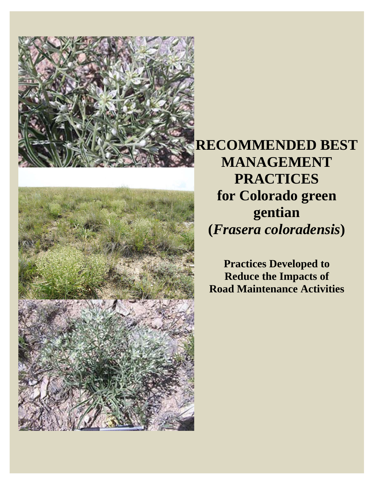



**RECOMMENDED BEST MANAGEMENT PRACTICES for Colorado green gentian (***Frasera coloradensis***)** 

**Practices Developed to Reduce the Impacts of Road Maintenance Activities**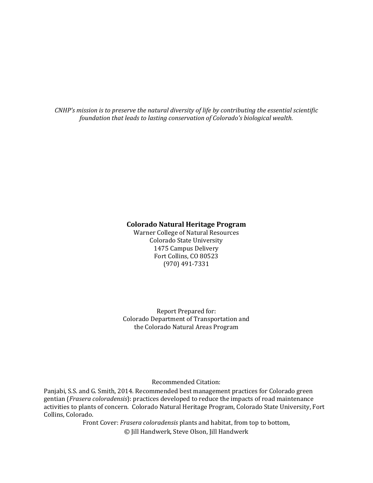*CNHP's mission is to preserve the natural diversity of life by contributing the essential scientific foundation that leads to lasting conservation of Colorado's biological wealth.*

#### **Colorado Natural Heritage Program**

Warner College of Natural Resources Colorado State University 1475 Campus Delivery Fort Collins, CO 80523 (970) 491‐7331 

Report Prepared for: Colorado Department of Transportation and the Colorado Natural Areas Program

Recommended Citation: 

Panjabi, S.S. and G. Smith, 2014. Recommended best management practices for Colorado green gentian (*Frasera coloradensis*): practices developed to reduce the impacts of road maintenance activities to plants of concern. Colorado Natural Heritage Program, Colorado State University, Fort Collins, Colorado.

> Front Cover: *Frasera coloradensis* plants and habitat, from top to bottom, © Jill Handwerk, Steve Olson, Jill Handwerk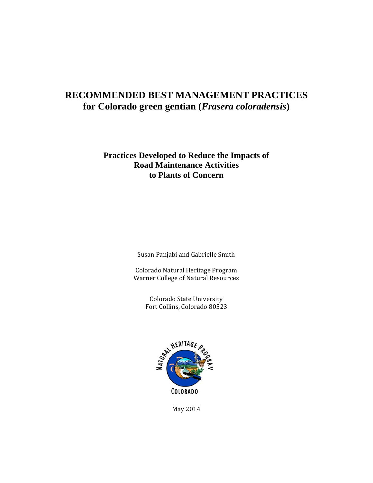## **RECOMMENDED BEST MANAGEMENT PRACTICES for Colorado green gentian (***Frasera coloradensis***)**

## **Practices Developed to Reduce the Impacts of Road Maintenance Activities to Plants of Concern**

Susan Panjabi and Gabrielle Smith

Colorado Natural Heritage Program Warner College of Natural Resources

> Colorado State University Fort Collins, Colorado 80523



May 2014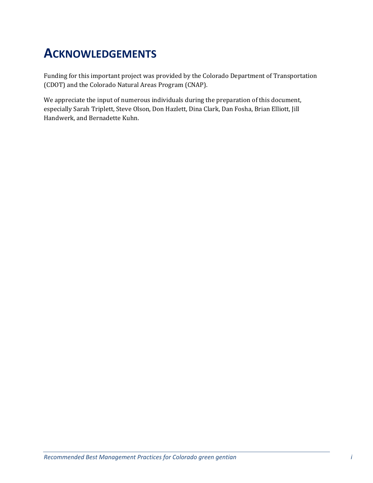## **ACKNOWLEDGEMENTS**

Funding for this important project was provided by the Colorado Department of Transportation (CDOT) and the Colorado Natural Areas Program (CNAP).

We appreciate the input of numerous individuals during the preparation of this document, especially Sarah Triplett, Steve Olson, Don Hazlett, Dina Clark, Dan Fosha, Brian Elliott, Jill Handwerk, and Bernadette Kuhn.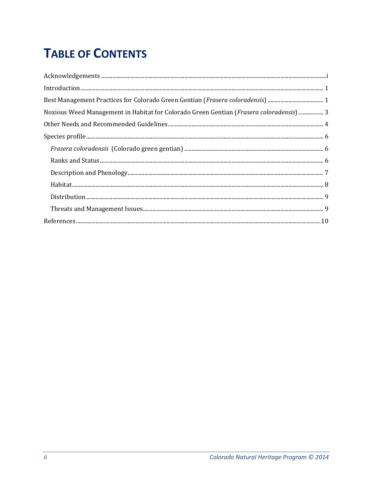# **TABLE OF CONTENTS**

| Noxious Weed Management in Habitat for Colorado Green Gentian (Frasera coloradensis)  3 |
|-----------------------------------------------------------------------------------------|
|                                                                                         |
|                                                                                         |
|                                                                                         |
|                                                                                         |
|                                                                                         |
|                                                                                         |
|                                                                                         |
|                                                                                         |
|                                                                                         |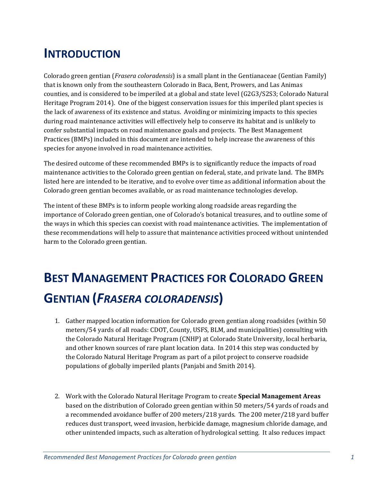## **INTRODUCTION**

Colorado green gentian (*Frasera coloradensis*) is a small plant in the Gentianaceae (Gentian Family) that is known only from the southeastern Colorado in Baca, Bent, Prowers, and Las Animas counties, and is considered to be imperiled at a global and state level (G2G3/S2S3; Colorado Natural Heritage Program 2014). One of the biggest conservation issues for this imperiled plant species is the lack of awareness of its existence and status. Avoiding or minimizing impacts to this species during road maintenance activities will effectively help to conserve its habitat and is unlikely to confer substantial impacts on road maintenance goals and projects. The Best Management Practices (BMPs) included in this document are intended to help increase the awareness of this species for anyone involved in road maintenance activities.

The desired outcome of these recommended BMPs is to significantly reduce the impacts of road maintenance activities to the Colorado green gentian on federal, state, and private land. The BMPs listed here are intended to be iterative, and to evolve over time as additional information about the Colorado green gentian becomes available, or as road maintenance technologies develop.

The intent of these BMPs is to inform people working along roadside areas regarding the importance of Colorado green gentian, one of Colorado's botanical treasures, and to outline some of the ways in which this species can coexist with road maintenance activities. The implementation of these recommendations will help to assure that maintenance activities proceed without unintended harm to the Colorado green gentian.

# **BEST MANAGEMENT PRACTICES FOR COLORADO GREEN GENTIAN (***FRASERA COLORADENSIS***)**

- 1. Gather mapped location information for Colorado green gentian along roadsides (within 50) meters/54 yards of all roads: CDOT, County, USFS, BLM, and municipalities) consulting with the Colorado Natural Heritage Program (CNHP) at Colorado State University, local herbaria, and other known sources of rare plant location data. In 2014 this step was conducted by the Colorado Natural Heritage Program as part of a pilot project to conserve roadside populations of globally imperiled plants (Panjabi and Smith 2014).
- 2. Work with the Colorado Natural Heritage Program to create **Special Management Areas** based on the distribution of Colorado green gentian within 50 meters/54 yards of roads and a recommended avoidance buffer of 200 meters/218 yards. The 200 meter/218 yard buffer reduces dust transport, weed invasion, herbicide damage, magnesium chloride damage, and other unintended impacts, such as alteration of hydrological setting. It also reduces impact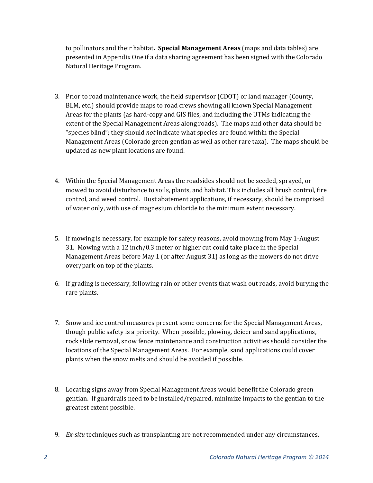to pollinators and their habitat. **Special Management Areas** (maps and data tables) are presented in Appendix One if a data sharing agreement has been signed with the Colorado Natural Heritage Program.

- 3. Prior to road maintenance work, the field supervisor (CDOT) or land manager (County, BLM, etc.) should provide maps to road crews showing all known Special Management Areas for the plants (as hard-copy and GIS files, and including the UTMs indicating the extent of the Special Management Areas along roads). The maps and other data should be "species blind"; they should *not* indicate what species are found within the Special Management Areas (Colorado green gentian as well as other rare taxa). The maps should be updated as new plant locations are found.
- 4. Within the Special Management Areas the roadsides should not be seeded, sprayed, or mowed to avoid disturbance to soils, plants, and habitat. This includes all brush control, fire control, and weed control. Dust abatement applications, if necessary, should be comprised of water only, with use of magnesium chloride to the minimum extent necessary.
- 5. If mowing is necessary, for example for safety reasons, avoid mowing from May 1-August 31. Mowing with a 12 inch/0.3 meter or higher cut could take place in the Special Management Areas before May 1 (or after August  $31$ ) as long as the mowers do not drive over/park on top of the plants.
- 6. If grading is necessary, following rain or other events that wash out roads, avoid burying the rare plants.
- 7. Snow and ice control measures present some concerns for the Special Management Areas, though public safety is a priority. When possible, plowing, deicer and sand applications, rock slide removal, snow fence maintenance and construction activities should consider the locations of the Special Management Areas. For example, sand applications could cover plants when the snow melts and should be avoided if possible.
- 8. Locating signs away from Special Management Areas would benefit the Colorado green gentian. If guardrails need to be installed/repaired, minimize impacts to the gentian to the greatest extent possible.
- 9. *Ex-situ* techniques such as transplanting are not recommended under any circumstances.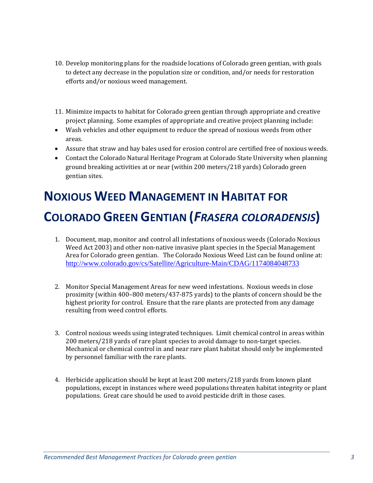- 10. Develop monitoring plans for the roadside locations of Colorado green gentian, with goals to detect any decrease in the population size or condition, and/or needs for restoration efforts and/or noxious weed management.
- 11. Minimize impacts to habitat for Colorado green gentian through appropriate and creative project planning. Some examples of appropriate and creative project planning include:
- Wash vehicles and other equipment to reduce the spread of noxious weeds from other areas.
- Assure that straw and hay bales used for erosion control are certified free of noxious weeds.
- Contact the Colorado Natural Heritage Program at Colorado State University when planning ground breaking activities at or near (within 200 meters/218 yards) Colorado green gentian sites.

# **NOXIOUS WEED MANAGEMENT IN HABITAT FOR COLORADO GREEN GENTIAN (***FRASERA COLORADENSIS***)**

- 1. Document, map, monitor and control all infestations of noxious weeds (Colorado Noxious Weed Act 2003) and other non-native invasive plant species in the Special Management Area for Colorado green gentian. The Colorado Noxious Weed List can be found online at: http://www.colorado.gov/cs/Satellite/Agriculture-Main/CDAG/1174084048733
- 2. Monitor Special Management Areas for new weed infestations. Noxious weeds in close proximity (within  $400-800$  meters/437-875 yards) to the plants of concern should be the highest priority for control. Ensure that the rare plants are protected from any damage resulting from weed control efforts.
- 3. Control noxious weeds using integrated techniques. Limit chemical control in areas within 200 meters/218 yards of rare plant species to avoid damage to non-target species. Mechanical or chemical control in and near rare plant habitat should only be implemented by personnel familiar with the rare plants.
- 4. Herbicide application should be kept at least 200 meters/218 yards from known plant populations, except in instances where weed populations threaten habitat integrity or plant populations. Great care should be used to avoid pesticide drift in those cases.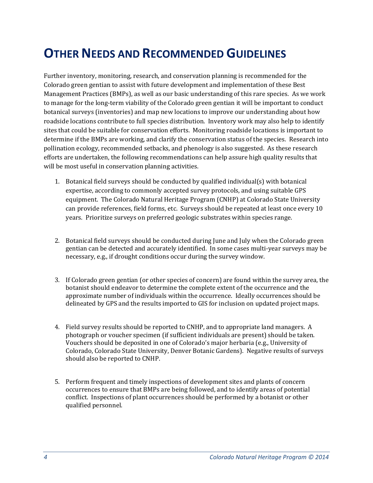## **OTHER NEEDS AND RECOMMENDED GUIDELINES**

Further inventory, monitoring, research, and conservation planning is recommended for the Colorado green gentian to assist with future development and implementation of these Best Management Practices (BMPs), as well as our basic understanding of this rare species. As we work to manage for the long-term viability of the Colorado green gentian it will be important to conduct botanical surveys (inventories) and map new locations to improve our understanding about how roadside locations contribute to full species distribution. Inventory work may also help to identify sites that could be suitable for conservation efforts. Monitoring roadside locations is important to determine if the BMPs are working, and clarify the conservation status of the species. Research into pollination ecology, recommended setbacks, and phenology is also suggested. As these research efforts are undertaken, the following recommendations can help assure high quality results that will be most useful in conservation planning activities.

- 1. Botanical field surveys should be conducted by qualified individual(s) with botanical expertise, according to commonly accepted survey protocols, and using suitable GPS equipment. The Colorado Natural Heritage Program (CNHP) at Colorado State University can provide references, field forms, etc. Surveys should be repeated at least once every 10 years. Prioritize surveys on preferred geologic substrates within species range.
- 2. Botanical field surveys should be conducted during June and July when the Colorado green gentian can be detected and accurately identified. In some cases multi-year surveys may be necessary, e.g., if drought conditions occur during the survey window.
- 3. If Colorado green gentian (or other species of concern) are found within the survey area, the botanist should endeavor to determine the complete extent of the occurrence and the approximate number of individuals within the occurrence. Ideally occurrences should be delineated by GPS and the results imported to GIS for inclusion on updated project maps.
- 4. Field survey results should be reported to CNHP, and to appropriate land managers. A photograph or voucher specimen (if sufficient individuals are present) should be taken. Vouchers should be deposited in one of Colorado's major herbaria (e.g., University of Colorado, Colorado State University, Denver Botanic Gardens). Negative results of surveys should also be reported to CNHP.
- 5. Perform frequent and timely inspections of development sites and plants of concern occurrences to ensure that BMPs are being followed, and to identify areas of potential conflict. Inspections of plant occurrences should be performed by a botanist or other qualified personnel.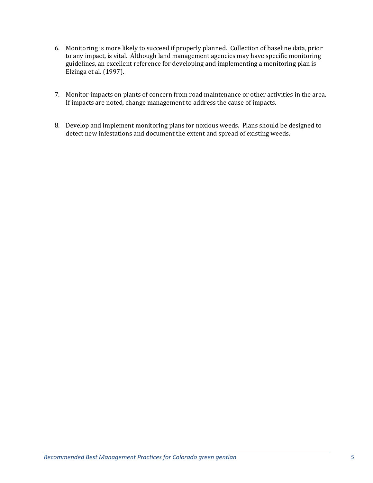- 6. Monitoring is more likely to succeed if properly planned. Collection of baseline data, prior to any impact, is vital. Although land management agencies may have specific monitoring guidelines, an excellent reference for developing and implementing a monitoring plan is Elzinga et al. (1997).
- 7. Monitor impacts on plants of concern from road maintenance or other activities in the area. If impacts are noted, change management to address the cause of impacts.
- 8. Develop and implement monitoring plans for noxious weeds. Plans should be designed to detect new infestations and document the extent and spread of existing weeds.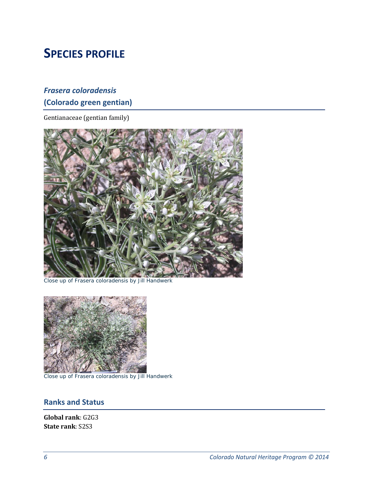## **SPECIES PROFILE**

## *Frasera coloradensis* **(Colorado green gentian)**

Gentianaceae (gentian family)



Close up of *Frasera coloradensis* by Jill Handwerk



Close up of *Frasera coloradensis* by Jill Handwerk

### **Ranks and Status**

**Global rank**: G2G3 **State rank**: S2S3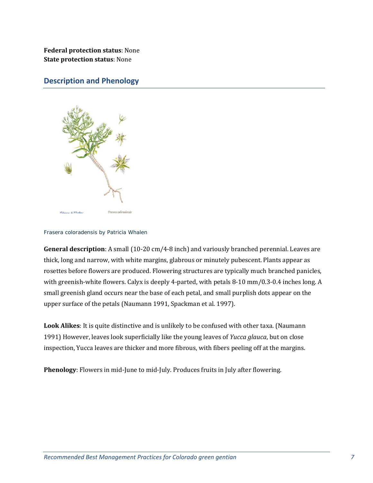**Federal protection status**: None **State protection status**: None 

### **Description and Phenology**



#### *Frasera coloradensis* by Patricia Whalen

**General description**: A small (10-20 cm/4-8 inch) and variously branched perennial. Leaves are thick, long and narrow, with white margins, glabrous or minutely pubescent. Plants appear as rosettes before flowers are produced. Flowering structures are typically much branched panicles, with greenish-white flowers. Calyx is deeply 4-parted, with petals 8-10 mm/0.3-0.4 inches long. A small greenish gland occurs near the base of each petal, and small purplish dots appear on the upper surface of the petals (Naumann 1991, Spackman et al. 1997).

Look Alikes: It is quite distinctive and is unlikely to be confused with other taxa. (Naumann 1991) However, leaves look superficially like the young leaves of *Yucca glauca*, but on close inspection, Yucca leaves are thicker and more fibrous, with fibers peeling off at the margins.

**Phenology**: Flowers in mid-June to mid-July. Produces fruits in July after flowering.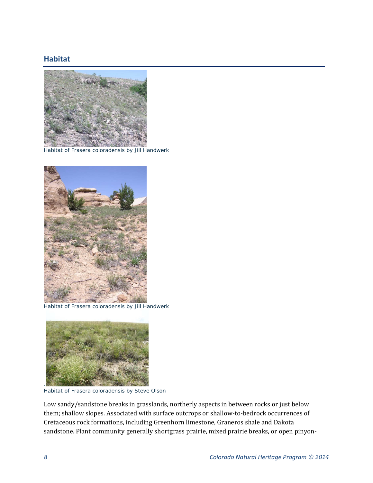### **Habitat**



Habitat of *Frasera coloradensis* by Jill Handwerk



Habitat of *Frasera coloradensis* by Jill Handwerk



Habitat of *Frasera coloradensis* by Steve Olson

Low sandy/sandstone breaks in grasslands, northerly aspects in between rocks or just below them; shallow slopes. Associated with surface outcrops or shallow-to-bedrock occurrences of Cretaceous rock formations, including Greenhorn limestone, Graneros shale and Dakota sandstone. Plant community generally shortgrass prairie, mixed prairie breaks, or open pinyon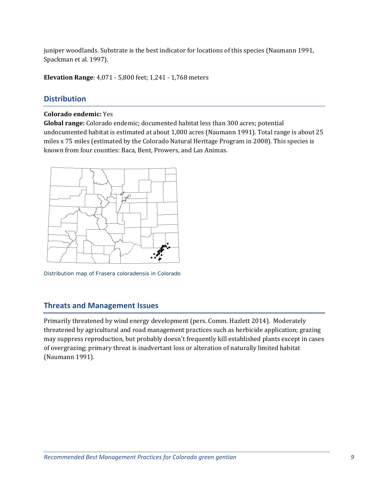juniper woodlands. Substrate is the best indicator for locations of this species (Naumann 1991, Spackman et al. 1997).

**Elevation Range:** 4,071 - 5,800 feet; 1,241 - 1,768 meters

### **Distribution**

#### **Colorado endemic:** Yes

**Global range:** Colorado endemic; documented habitat less than 300 acres; potential undocumented habitat is estimated at about 1,000 acres (Naumann 1991). Total range is about 25 miles  $x$  75 miles (estimated by the Colorado Natural Heritage Program in 2008). This species is known from four counties: Baca, Bent, Prowers, and Las Animas.



Distribution map of *Frasera coloradensis* in Colorado

### **Threats and Management Issues**

Primarily threatened by wind energy development (pers. Comm. Hazlett 2014). Moderately threatened by agricultural and road management practices such as herbicide application; grazing may suppress reproduction, but probably doesn't frequently kill established plants except in cases of overgrazing; primary threat is inadvertant loss or alteration of naturally limited habitat (Naumann 1991).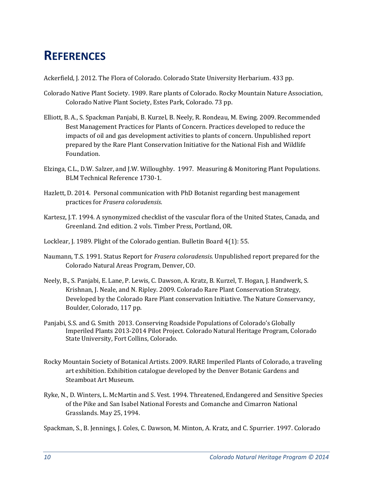## **REFERENCES**

Ackerfield, J. 2012. The Flora of Colorado. Colorado State University Herbarium. 433 pp.

- Colorado Native Plant Society. 1989. Rare plants of Colorado. Rocky Mountain Nature Association, Colorado Native Plant Society, Estes Park, Colorado. 73 pp.
- Elliott, B. A., S. Spackman Panjabi, B. Kurzel, B. Neely, R. Rondeau, M. Ewing. 2009. Recommended Best Management Practices for Plants of Concern. Practices developed to reduce the impacts of oil and gas development activities to plants of concern. Unpublished report prepared by the Rare Plant Conservation Initiative for the National Fish and Wildlife Foundation.
- Elzinga, C.L., D.W. Salzer, and J.W. Willoughby. 1997. Measuring & Monitoring Plant Populations. BLM Technical Reference 1730-1.
- Hazlett, D. 2014. Personal communication with PhD Botanist regarding best management practices for *Frasera coloradensis*.
- Kartesz, J.T. 1994. A synonymized checklist of the vascular flora of the United States, Canada, and Greenland. 2nd edition. 2 vols. Timber Press, Portland, OR.
- Locklear, J. 1989. Plight of the Colorado gentian. Bulletin Board 4(1): 55.
- Naumann, T.S. 1991. Status Report for *Frasera coloradensis*. Unpublished report prepared for the Colorado Natural Areas Program, Denver, CO.
- Neely, B., S. Panjabi, E. Lane, P. Lewis, C. Dawson, A. Kratz, B. Kurzel, T. Hogan, J. Handwerk, S. Krishnan, J. Neale, and N. Ripley. 2009. Colorado Rare Plant Conservation Strategy, Developed by the Colorado Rare Plant conservation Initiative. The Nature Conservancy, Boulder, Colorado, 117 pp.
- Panjabi, S.S. and G. Smith 2013. Conserving Roadside Populations of Colorado's Globally Imperiled Plants 2013-2014 Pilot Project. Colorado Natural Heritage Program, Colorado State University, Fort Collins, Colorado.
- Rocky Mountain Society of Botanical Artists. 2009. RARE Imperiled Plants of Colorado, a traveling art exhibition. Exhibition catalogue developed by the Denver Botanic Gardens and Steamboat Art Museum.
- Ryke, N., D. Winters, L. McMartin and S. Vest. 1994. Threatened, Endangered and Sensitive Species of the Pike and San Isabel National Forests and Comanche and Cimarron National Grasslands. May 25, 1994.
- Spackman, S., B. Jennings, J. Coles, C. Dawson, M. Minton, A. Kratz, and C. Spurrier. 1997. Colorado